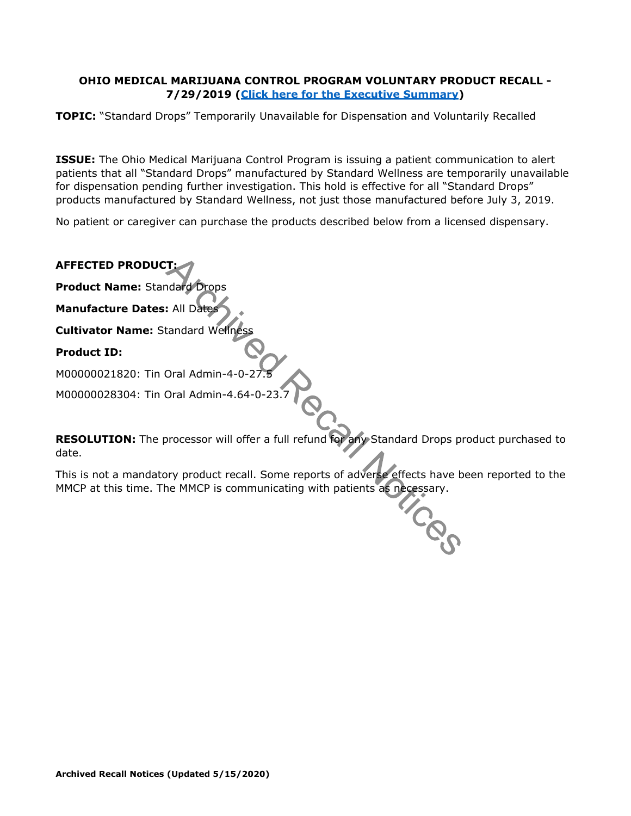#### **OHIO MEDICAL MARIJUANA CONTROL PROGRAM VOLUNTARY PRODUCT RECALL - 7/29/2019 [\(Click here for the Executive Summary\)](https://medicalmarijuana.ohio.gov/Documents/PatientsCaregivers/Standard%20Wellness%20Standard%20Drops%20Product.pdf)**

**TOPIC:** "Standard Drops" Temporarily Unavailable for Dispensation and Voluntarily Recalled

**ISSUE:** The Ohio Medical Marijuana Control Program is issuing a patient communication to alert patients that all "Standard Drops" manufactured by Standard Wellness are temporarily unavailable for dispensation pending further investigation. This hold is effective for all "Standard Drops" products manufactured by Standard Wellness, not just those manufactured before July 3, 2019.

No patient or caregiver can purchase the products described below from a licensed dispensary.

| <b>AFFECTED PRODUCT:</b>                  |
|-------------------------------------------|
| <b>Product Name: Standard Drops</b>       |
| <b>Manufacture Dates: All Dates</b>       |
| <b>Cultivator Name: Standard Wellness</b> |
| <b>Product ID:</b>                        |
| M00000021820: Tin Oral Admin-4-0-27.5     |
| M00000028304: Tin Oral Admin-4.64-0-23.7  |

**RESOLUTION:** The processor will offer a full refund for any Standard Drops product purchased to date.

This is not a mandatory product recall. Some reports of adverse effects have been reported to the MMCP at this time. The MMCP is communicating with patients as necessary. ices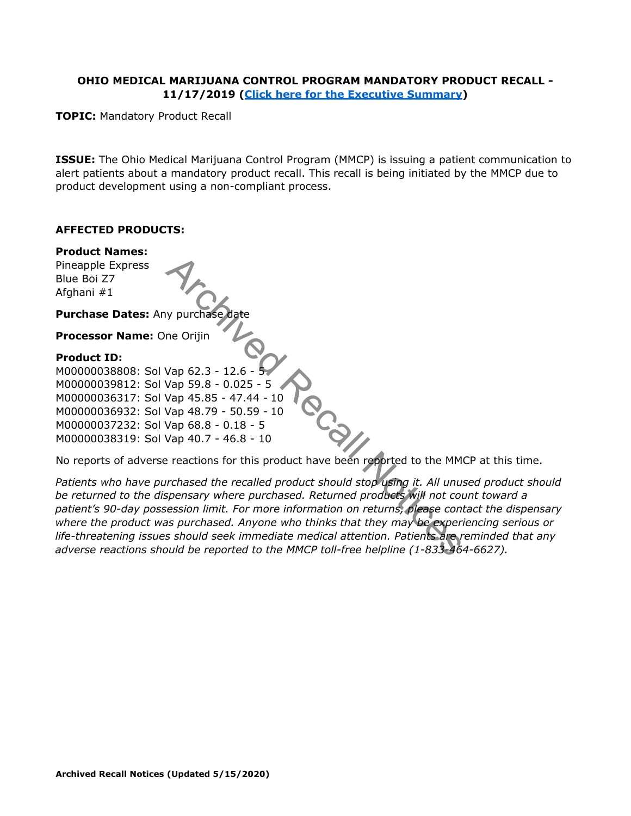#### **OHIO MEDICAL MARIJUANA CONTROL PROGRAM MANDATORY PRODUCT RECALL - 11/17/2019 [\(Click here for the Executive Summary\)](https://medicalmarijuana.ohio.gov/Documents/PatientsCaregivers/One%20Orijin%20Rosin%20Product.pdf)**

**TOPIC:** Mandatory Product Recall

**ISSUE:** The Ohio Medical Marijuana Control Program (MMCP) is issuing a patient communication to alert patients about a mandatory product recall. This recall is being initiated by the MMCP due to product development using a non-compliant process.

#### **AFFECTED PRODUCTS:**

**Product Names:** Pineapple Express Blue Boi Z7 Afghani #1 **Purchase Dates: Any purchase Processor Name:** One Orijin **Product ID:** M00000038808: Sol Vap 62.3 - 12.6 - 5 M00000039812: Sol Vap 59.8 - 0.025 - 5 M00000036317: Sol Vap 45.85 - 47.44 - 10 M00000036932: Sol Vap 48.79 - 50.59 - 10 M00000037232: Sol Vap 68.8 - 0.18 - 5 M00000038319: Sol Vap 40.7 - 46.8 - 10

No reports of adverse reactions for this product have been reported to the MMCP at this time.

*Patients who have purchased the recalled product should stop using it. All unused product should be returned to the dispensary where purchased. Returned products will not count toward a patient's 90-day possession limit. For more information on returns, please contact the dispensary where the product was purchased. Anyone who thinks that they may be experiencing serious or life-threatening issues should seek immediate medical attention. Patients are reminded that any adverse reactions should be reported to the MMCP toll-free helpline (1-833-464-6627).*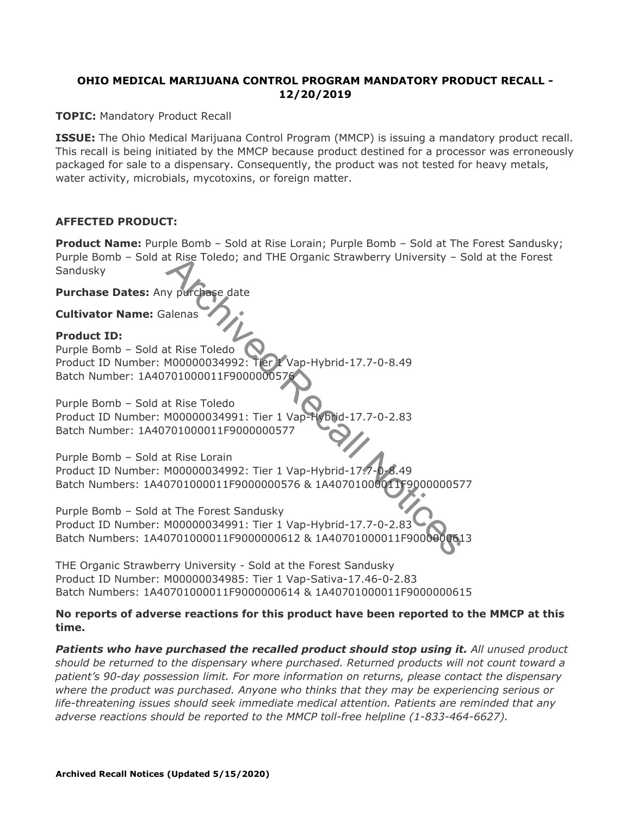## **OHIO MEDICAL MARIJUANA CONTROL PROGRAM MANDATORY PRODUCT RECALL - 12/20/2019**

**TOPIC:** Mandatory Product Recall

**ISSUE:** The Ohio Medical Marijuana Control Program (MMCP) is issuing a mandatory product recall. This recall is being initiated by the MMCP because product destined for a processor was erroneously packaged for sale to a dispensary. Consequently, the product was not tested for heavy metals, water activity, microbials, mycotoxins, or foreign matter.

### **AFFECTED PRODUCT:**

**Product Name:** Purple Bomb - Sold at Rise Lorain; Purple Bomb - Sold at The Forest Sandusky; Purple Bomb – Sold at Rise Toledo; and THE Organic Strawberry University – Sold at the Forest Sandusky

**Purchase Dates:** Any purchase date

**Cultivator Name:** Galenas

#### **Product ID:**

Purple Bomb – Sold at Rise Toledo Product ID Number: M00000034992: Tier 1 Vap-Hybrid-17.7-0-8.49 Batch Number: 1A40701000011F9000000576

Purple Bomb – Sold at Rise Toledo Product ID Number: M00000034991: Tier 1 Vap-Hybrid-17.7-0-2.83 Batch Number: 1A40701000011F9000000577

Purple Bomb – Sold at Rise Lorain Product ID Number: M00000034992: Tier 1 Vap-Hybrid-17.7-0-8.49 Batch Numbers: 1A40701000011F9000000576 & 1A40701000011F9000000577

Purple Bomb – Sold at The Forest Sandusky Product ID Number: M00000034991: Tier 1 Vap-Hybrid-17.7-0-2.83 Batch Numbers: 1A40701000011F9000000612 & 1A40701000011F9000000613

THE Organic Strawberry University - Sold at the Forest Sandusky Product ID Number: M00000034985: Tier 1 Vap-Sativa-17.46-0-2.83 Batch Numbers: 1A40701000011F9000000614 & 1A40701000011F9000000615

#### **No reports of adverse reactions for this product have been reported to the MMCP at this time.**

**Patients who have purchased the recalled product should stop using it.** All unused product *should be returned to the dispensary where purchased. Returned products will not count toward a patient's 90-day possession limit. For more information on returns, please contact the dispensary where the product was purchased. Anyone who thinks that they may be experiencing serious or life-threatening issues should seek immediate medical attention. Patients are reminded that any adverse reactions should be reported to the MMCP toll-free helpline (1-833-464-6627).*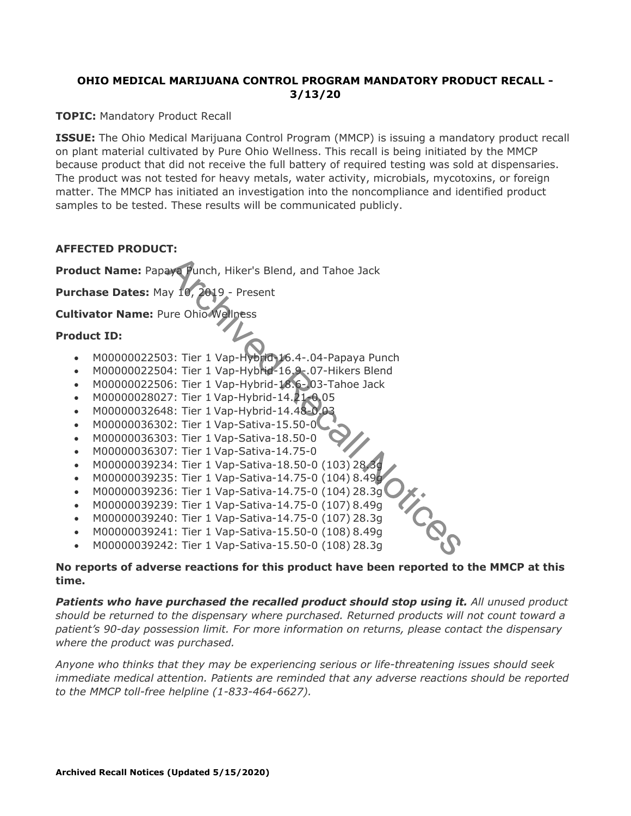## **OHIO MEDICAL MARIJUANA CONTROL PROGRAM MANDATORY PRODUCT RECALL - 3/13/20**

**TOPIC: Mandatory Product Recall** 

**ISSUE:** The Ohio Medical Marijuana Control Program (MMCP) is issuing a mandatory product recall on plant material cultivated by Pure Ohio Wellness. This recall is being initiated by the MMCP because product that did not receive the full battery of required testing was sold at dispensaries. The product was not tested for heavy metals, water activity, microbials, mycotoxins, or foreign matter. The MMCP has initiated an investigation into the noncompliance and identified product samples to be tested. These results will be communicated publicly.

## **AFFECTED PRODUCT:**

**Product Name:** Papaya Punch, Hiker's Blend, and Tahoe Jack

Purchase Dates: May 10, 2019 - Present

**Cultivator Name:** Pure Ohio Wellness

### **Product ID:**

- M00000022503: Tier 1 Vap-Hybrid-16.4-.04-Papaya Punch
- M00000022504: Tier 1 Vap-Hybrid-16.9-.07-Hikers Blend
- M00000022506: Tier 1 Vap-Hybrid-18.6-03-Tahoe Jack
- M00000028027: Tier 1 Vap-Hybrid-14.21-0.05
- M00000032648: Tier 1 Vap-Hybrid-14.48-0.03
- M00000036302: Tier 1 Vap-Sativa-15.50-0
- M00000036303: Tier 1 Vap-Sativa-18.50-0
- M00000036307: Tier 1 Vap-Sativa-14.75-0
- M00000039234: Tier 1 Vap-Sativa-18.50-0 (103) 28.3g
- M00000039235: Tier 1 Vap-Sativa-14.75-0 (104) 8.49g
- M00000039236: Tier 1 Vap-Sativa-14.75-0 (104) 28.3g
- M00000039239: Tier 1 Vap-Sativa-14.75-0 (107) 8.49g
- M00000039240: Tier 1 Vap-Sativa-14.75-0 (107) 28.3g
- M00000039241: Tier 1 Vap-Sativa-15.50-0 (108) 8.49g
- M00000039242: Tier 1 Vap-Sativa-15.50-0 (108) 28.3g

### **No reports of adverse reactions for this product have been reported to the MMCP at this time.**

**Patients who have purchased the recalled product should stop using it.** All unused product *should be returned to the dispensary where purchased. Returned products will not count toward a patient's 90-day possession limit. For more information on returns, please contact the dispensary where the product was purchased.*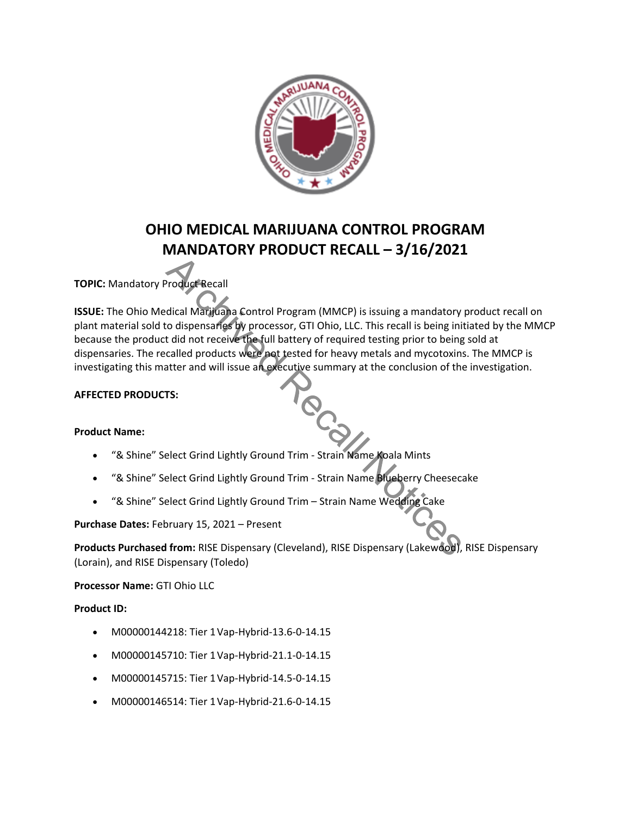

# **OHIO MEDICAL MARIJUANA CONTROL PROGRAM MANDATORY PRODUCT RECALL – 3/16/2021**

# **TOPIC:** Mandatory Product Recall

**ISSUE:** The Ohio Medical Marijuana Control Program (MMCP) is issuing a mandatory product recall on plant material sold to dispensaries by processor, GTI Ohio, LLC. This recall is being initiated by the MMCP because the product did not receive the full battery of required testing prior to being sold at dispensaries. The recalled products were not tested for heavy metals and mycotoxins. The MMCP is investigating this matter and will issue an executive summary at the conclusion of the investigation.

### **AFFECTED PRODUCTS:**

#### **Product Name:**

- "& Shine" Select Grind Lightly Ground Trim Strain Name Koala Mints
- "& Shine" Select Grind Lightly Ground Trim Strain Name Blueberry Cheesecake
- "& Shine" Select Grind Lightly Ground Trim Strain Name Wedding Cake

**Purchase Dates:** February 15, 2021 – Present

**Products Purchased from:** RISE Dispensary (Cleveland), RISE Dispensary (Lakewood), RISE Dispensary (Lorain), and RISE Dispensary (Toledo)

**Processor Name:** GTI Ohio LLC

#### **Product ID:**

- M00000144218: Tier 1Vap-Hybrid-13.6-0-14.15
- M00000145710: Tier 1Vap-Hybrid-21.1-0-14.15
- M00000145715: Tier 1Vap-Hybrid-14.5-0-14.15
- M00000146514: Tier 1Vap-Hybrid-21.6-0-14.15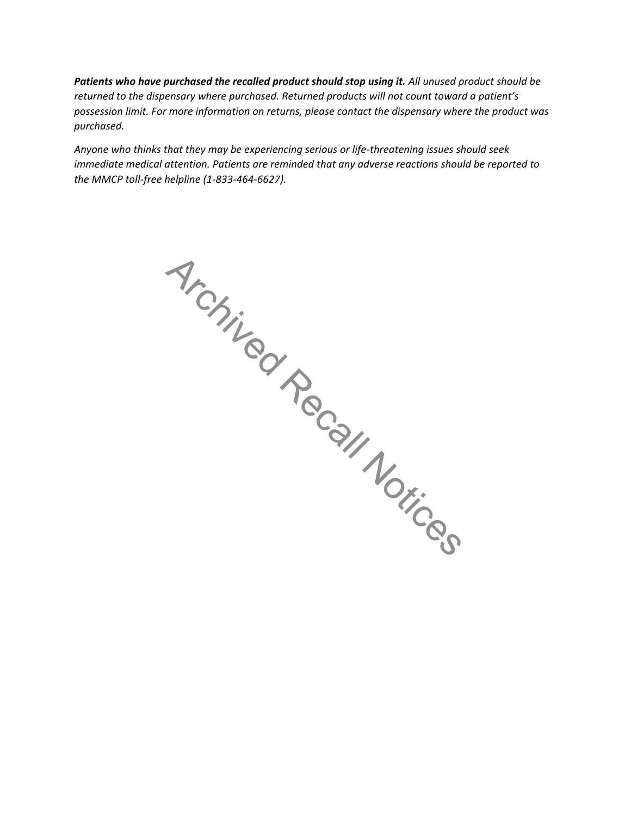*Patients who have purchased the recalled product should stop using it. All unused product should be returned to the dispensary where purchased. Returned products will not count toward a patient's possession limit. For more information on returns, please contact the dispensary where the product was purchased.*

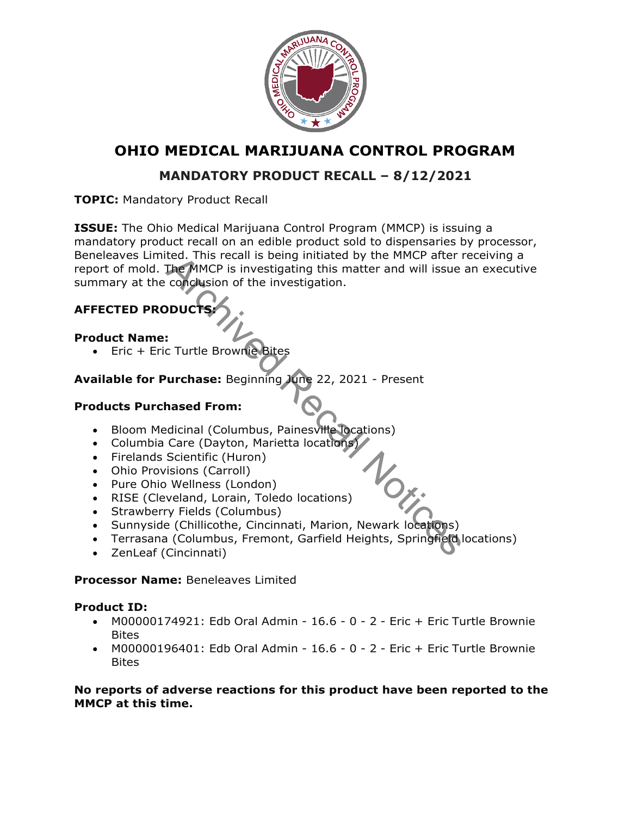

# **MANDATORY PRODUCT RECALL – 8/12/2021**

**TOPIC:** Mandatory Product Recall

**ISSUE:** The Ohio Medical Marijuana Control Program (MMCP) is issuing a mandatory product recall on an edible product sold to dispensaries by processor, Beneleaves Limited. This recall is being initiated by the MMCP after receiving a report of mold. The MMCP is investigating this matter and will issue an executive summary at the conclusion of the investigation.

# **AFFECTED PRODUC**

## **Product Name:**

• Eric + Eric Turtle Brownie Bites

# **Available for Purchase:** Beginning June 22, 2021 - Present

## **Products Purchased From:**

- Bloom Medicinal (Columbus, Painesville locations)
- Columbia Care (Dayton, Marietta locations)
- Firelands Scientific (Huron)
- Ohio Provisions (Carroll)
- Pure Ohio Wellness (London)
- RISE (Cleveland, Lorain, Toledo locations)
- Strawberry Fields (Columbus)
- Sunnyside (Chillicothe, Cincinnati, Marion, Newark locations)
- Terrasana (Columbus, Fremont, Garfield Heights, Springfield locations)
- ZenLeaf (Cincinnati)

## **Processor Name:** Beneleaves Limited

## **Product ID:**

- M00000174921: Edb Oral Admin 16.6 0 2 Eric + Eric Turtle Brownie Bites
- M00000196401: Edb Oral Admin 16.6 0 2 Eric + Eric Turtle Brownie **Bites**

### **No reports of adverse reactions for this product have been reported to the MMCP at this time.**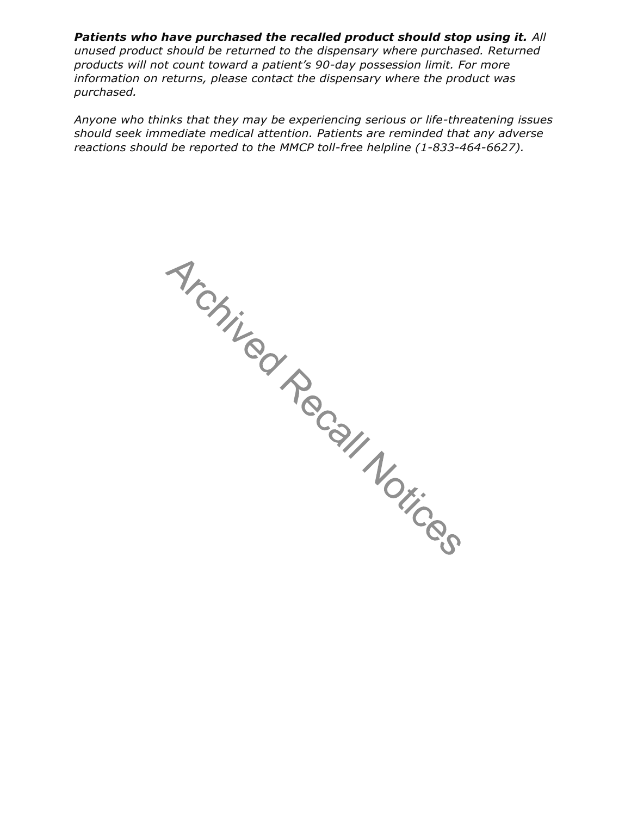**Patients who have purchased the recalled product should stop using it.** All *unused product should be returned to the dispensary where purchased. Returned products will not count toward a patient's 90-day possession limit. For more information on returns, please contact the dispensary where the product was purchased.*

Architected Recall Notices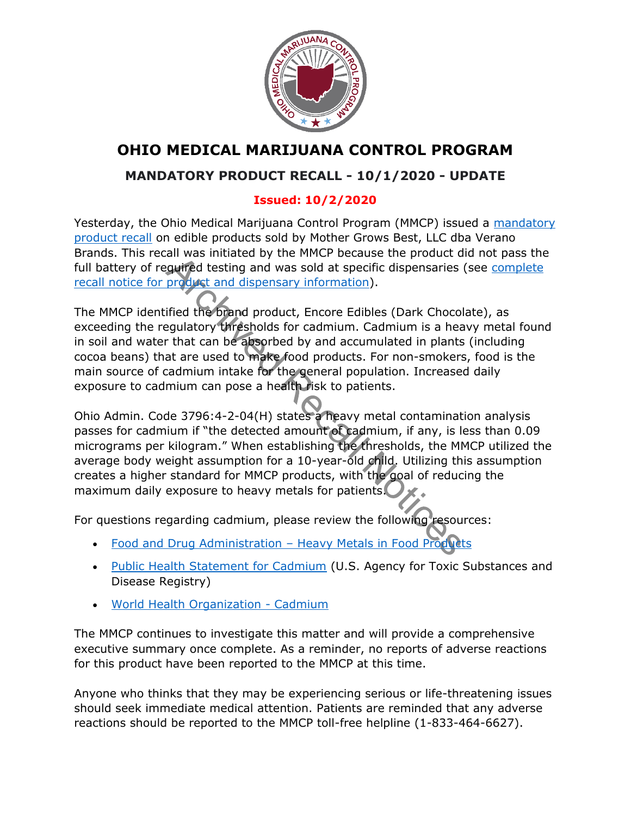

# **MANDATORY PRODUCT RECALL - 10/1/2020 - UPDATE**

# **Issued: 10/2/2020**

Yesterday, the Ohio Medical Marijuana Control Program (MMCP) issued a [mandatory](https://gcc01.safelinks.protection.outlook.com/?url=https%3A%2F%2Fmedicalmarijuana.ohio.gov%2FDocuments%2FRecalls%2FMandatory%2520Product%2520Recall%2520-%252010.1.2020.pdf&data=02%7C01%7Ccameron.mcnamee%40pharmacy.ohio.gov%7Ccf925265e06f4384bec908d866fa5446%7C50f8fcc494d84f0784eb36ed57c7c8a2%7C0%7C1%7C637372572634007915&sdata=7qsKmyUtyp5a2qsayY5BGN6E6Sv%2F1KO0uwnLOKB%2FOlI%3D&reserved=0) [product recall](https://gcc01.safelinks.protection.outlook.com/?url=https%3A%2F%2Fmedicalmarijuana.ohio.gov%2FDocuments%2FRecalls%2FMandatory%2520Product%2520Recall%2520-%252010.1.2020.pdf&data=02%7C01%7Ccameron.mcnamee%40pharmacy.ohio.gov%7Ccf925265e06f4384bec908d866fa5446%7C50f8fcc494d84f0784eb36ed57c7c8a2%7C0%7C1%7C637372572634007915&sdata=7qsKmyUtyp5a2qsayY5BGN6E6Sv%2F1KO0uwnLOKB%2FOlI%3D&reserved=0) on edible products sold by Mother Grows Best, LLC dba Verano Brands. This recall was initiated by the MMCP because the product did not pass the full battery of required testing and was sold at specific dispensaries (see [complete](https://gcc01.safelinks.protection.outlook.com/?url=https%3A%2F%2Fmedicalmarijuana.ohio.gov%2FDocuments%2FRecalls%2FMandatory%2520Product%2520Recall%2520-%252010.1.2020.pdf&data=02%7C01%7Ccameron.mcnamee%40pharmacy.ohio.gov%7Ccf925265e06f4384bec908d866fa5446%7C50f8fcc494d84f0784eb36ed57c7c8a2%7C0%7C1%7C637372572634012896&sdata=zr7gektMOFIJSrc9C%2FUEfkL3IqJKko2E0DjoKbgb%2F1s%3D&reserved=0) [recall notice for product and dispensary](https://gcc01.safelinks.protection.outlook.com/?url=https%3A%2F%2Fmedicalmarijuana.ohio.gov%2FDocuments%2FRecalls%2FMandatory%2520Product%2520Recall%2520-%252010.1.2020.pdf&data=02%7C01%7Ccameron.mcnamee%40pharmacy.ohio.gov%7Ccf925265e06f4384bec908d866fa5446%7C50f8fcc494d84f0784eb36ed57c7c8a2%7C0%7C1%7C637372572634012896&sdata=zr7gektMOFIJSrc9C%2FUEfkL3IqJKko2E0DjoKbgb%2F1s%3D&reserved=0) information).

The MMCP identified the brand product, Encore Edibles (Dark Chocolate), as exceeding the regulatory thresholds for cadmium. Cadmium is a heavy metal found in soil and water that can be absorbed by and accumulated in plants (including cocoa beans) that are used to make food products. For non-smokers, food is the main source of cadmium intake for the general population. Increased daily exposure to cadmium can pose a health risk to patients.

Ohio Admin. Code 3796:4-2-04(H) states a heavy metal contamination analysis passes for cadmium if "the detected amount of cadmium, if any, is less than 0.09 micrograms per kilogram." When establishing the thresholds, the MMCP utilized the average body weight assumption for a 10-year-old child. Utilizing this assumption creates a higher standard for MMCP products, with the goal of reducing the maximum daily exposure to heavy metals for patients.

For questions regarding cadmium, please review the following resources:

- [Food and Drug Administration](https://gcc01.safelinks.protection.outlook.com/?url=https%3A%2F%2Fwww.fda.gov%2Ffood%2Fchemicals-metals-pesticides-food%2Fmetals-and-your-food&data=02%7C01%7Ccameron.mcnamee%40pharmacy.ohio.gov%7Ccf925265e06f4384bec908d866fa5446%7C50f8fcc494d84f0784eb36ed57c7c8a2%7C0%7C1%7C637372572634017873&sdata=MAMfFtLmSQy%2BHlHFB0YVVXXMaFzFLBWHnq%2BU4xr4xZ8%3D&reserved=0)  Heavy Metals in Food Products
- [Public Health Statement for Cadmium](https://gcc01.safelinks.protection.outlook.com/?url=https%3A%2F%2Fwww.atsdr.cdc.gov%2Fphs%2Fphs.asp%3Fid%3D46%26tid%3D15&data=02%7C01%7Ccameron.mcnamee%40pharmacy.ohio.gov%7Ccf925265e06f4384bec908d866fa5446%7C50f8fcc494d84f0784eb36ed57c7c8a2%7C0%7C1%7C637372572634022849&sdata=HWhNyGwcVhf7qsaNahO3dneSRcRTuWURQU8NUJLGv4w%3D&reserved=0) (U.S. Agency for Toxic Substances and Disease Registry)
- [World Health Organization -](https://gcc01.safelinks.protection.outlook.com/?url=https%3A%2F%2Fwww.who.int%2Fipcs%2Fassessment%2Fpublic_health%2Fcadmium%2Fen%2F&data=02%7C01%7Ccameron.mcnamee%40pharmacy.ohio.gov%7Ccf925265e06f4384bec908d866fa5446%7C50f8fcc494d84f0784eb36ed57c7c8a2%7C0%7C1%7C637372572634027830&sdata=PhWMOgo2DEKPr5WhAJco2ufcNVII1ry5RQcfv7s4i5I%3D&reserved=0) Cadmium

The MMCP continues to investigate this matter and will provide a comprehensive executive summary once complete. As a reminder, no reports of adverse reactions for this product have been reported to the MMCP at this time.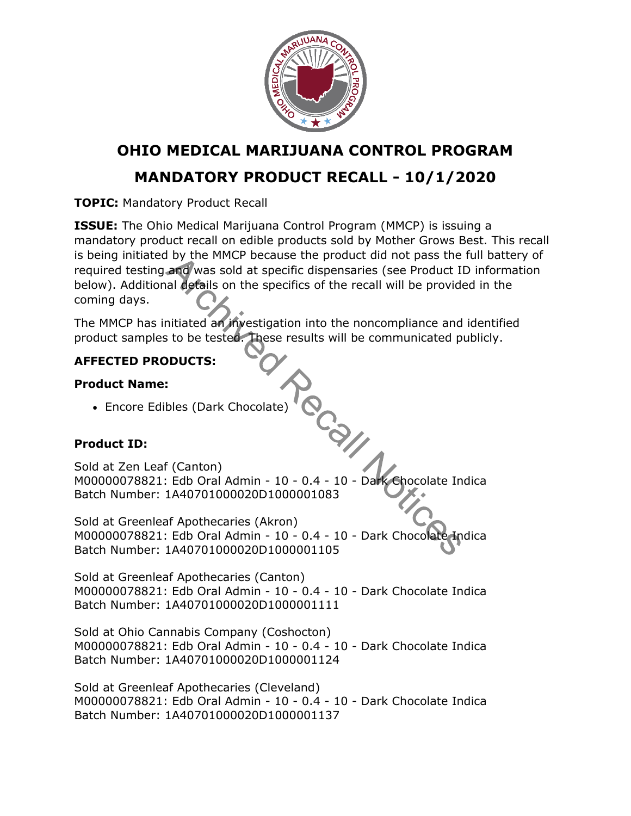

# **MANDATORY PRODUCT RECALL - 10/1/2020**

**TOPIC:** Mandatory Product Recall

**ISSUE:** The Ohio Medical Marijuana Control Program (MMCP) is issuing a mandatory product recall on edible products sold by Mother Grows Best. This recall is being initiated by the MMCP because the product did not pass the full battery of required testing and was sold at specific dispensaries (see Product ID information below). Additional details on the specifics of the recall will be provided in the coming days.

Cay

The MMCP has initiated an investigation into the noncompliance and identified product samples to be tested. These results will be communicated publicly.

# **AFFECTED PRODUCTS:**

# **Product Name:**

• Encore Edibles (Dark Chocolate)

# **Product ID:**

Sold at Zen Leaf (Canton) M00000078821: Edb Oral Admin - 10 - 0.4 - 10 - Dark Chocolate Indica Batch Number: 1A40701000020D1000001083

Sold at Greenleaf Apothecaries (Akron) M00000078821: Edb Oral Admin - 10 - 0.4 - 10 - Dark Chocolate Indica Batch Number: 1A40701000020D1000001105

Sold at Greenleaf Apothecaries (Canton) M00000078821: Edb Oral Admin - 10 - 0.4 - 10 - Dark Chocolate Indica Batch Number: 1A40701000020D1000001111

Sold at Ohio Cannabis Company (Coshocton) M00000078821: Edb Oral Admin - 10 - 0.4 - 10 - Dark Chocolate Indica Batch Number: 1A40701000020D1000001124

Sold at Greenleaf Apothecaries (Cleveland) M00000078821: Edb Oral Admin - 10 - 0.4 - 10 - Dark Chocolate Indica Batch Number: 1A40701000020D1000001137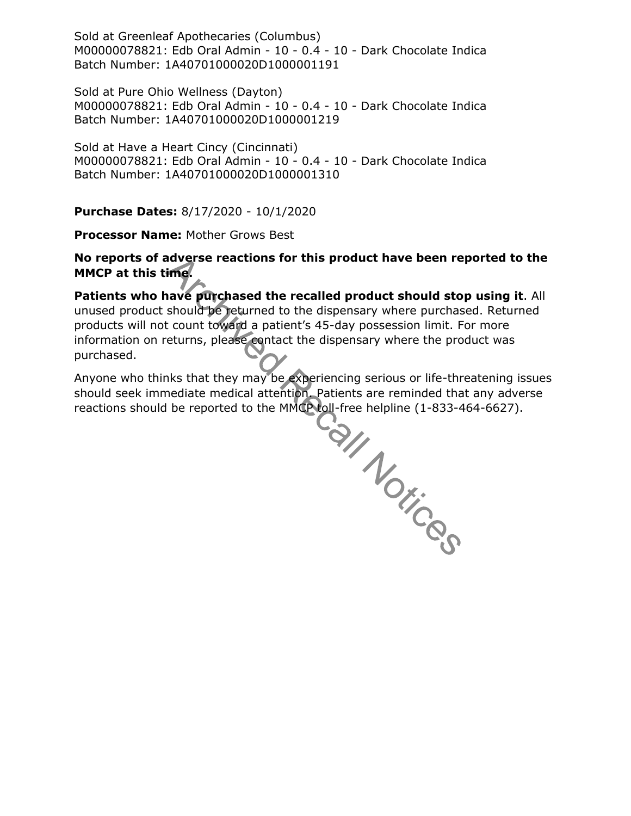Sold at Greenleaf Apothecaries (Columbus) M00000078821: Edb Oral Admin - 10 - 0.4 - 10 - Dark Chocolate Indica Batch Number: 1A40701000020D1000001191

Sold at Pure Ohio Wellness (Dayton) M00000078821: Edb Oral Admin - 10 - 0.4 - 10 - Dark Chocolate Indica Batch Number: 1A40701000020D1000001219

Sold at Have a Heart Cincy (Cincinnati) M00000078821: Edb Oral Admin - 10 - 0.4 - 10 - Dark Chocolate Indica Batch Number: 1A40701000020D1000001310

**Purchase Dates:** 8/17/2020 - 10/1/2020

**Processor Name:** Mother Grows Best

**No reports of adverse reactions for this product have been reported to the MMCP at this time.**

**Patients who have purchased the recalled product should stop using it**. All unused product should be returned to the dispensary where purchased. Returned products will not count toward a patient's 45-day possession limit. For more information on returns, please contact the dispensary where the product was purchased.

Anyone who thinks that they may be experiencing serious or life-threatening issues reactions should be reported to the MMCP toll-free helpline (1-833-464-6627).

should seek immediate medical attention. Patients are reminded that any adverse<br>reactions should be reported to the MMCP toll-free helpline (1-833-464-6627).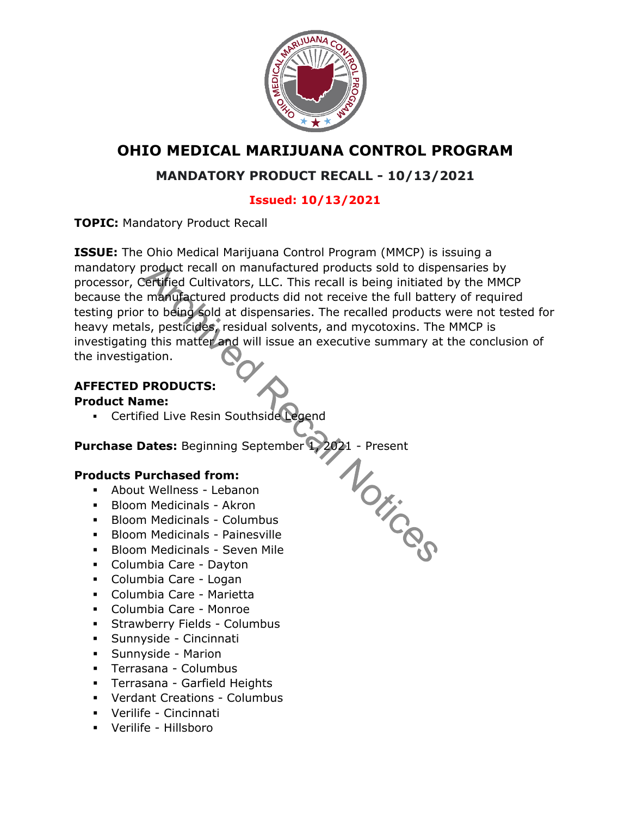

# **MANDATORY PRODUCT RECALL - 10/13/2021**

# **Issued: 10/13/2021**

**TOPIC:** Mandatory Product Recall

**ISSUE:** The Ohio Medical Marijuana Control Program (MMCP) is issuing a mandatory product recall on manufactured products sold to dispensaries by processor, Certified Cultivators, LLC. This recall is being initiated by the MMCP because the manufactured products did not receive the full battery of required testing prior to being sold at dispensaries. The recalled products were not tested for heavy metals, pesticides, residual solvents, and mycotoxins. The MMCP is investigating this matter and will issue an executive summary at the conclusion of the investigation.

# **AFFECTED PRODUCTS:**

## **Product Name:**

**EXEC** Certified Live Resin Southside Legend

Purchase Dates: Beginning September 1, 2021 - Present<br>
Products Purchased from:<br>
About Wellness - Lebanon<br>
Madicinals - Akron<br>
Columbus<br>
Columbus

## **Products Purchased from:**

- **EXECUTE:** About Wellness Lebanon
- **E** Bloom Medicinals Akron
- Bloom Medicinals Columbus
- **Bloom Medicinals Painesville**
- Bloom Medicinals Seven Mile
- Columbia Care Dayton
- Columbia Care Logan
- Columbia Care Marietta
- Columbia Care Monroe
- **Exercise Strawberry Fields Columbus**
- Sunnyside Cincinnati
- Sunnyside Marion
- Terrasana Columbus
- Terrasana Garfield Heights
- Verdant Creations Columbus
- Verilife Cincinnati
- Verilife Hillsboro